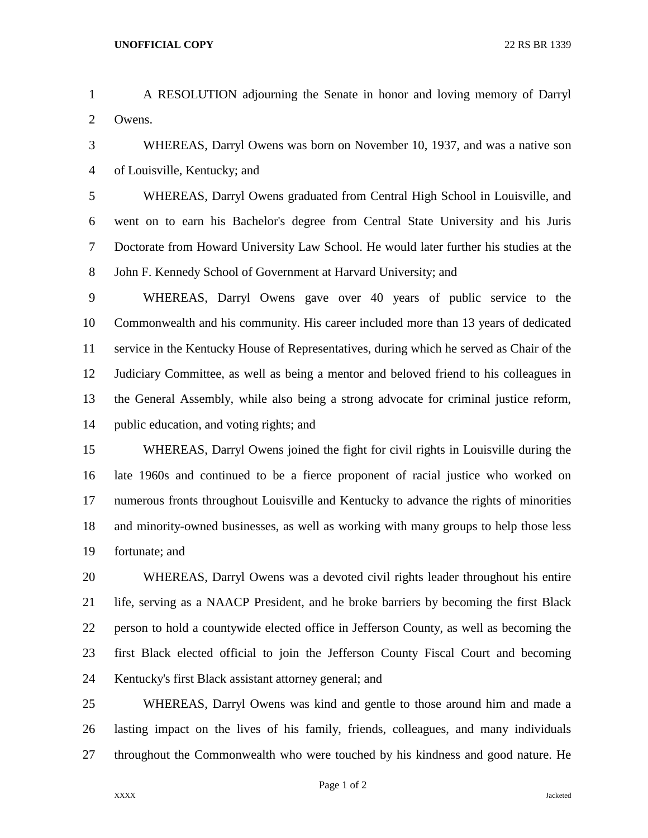- A RESOLUTION adjourning the Senate in honor and loving memory of Darryl Owens.
- WHEREAS, Darryl Owens was born on November 10, 1937, and was a native son of Louisville, Kentucky; and

 WHEREAS, Darryl Owens graduated from Central High School in Louisville, and went on to earn his Bachelor's degree from Central State University and his Juris Doctorate from Howard University Law School. He would later further his studies at the John F. Kennedy School of Government at Harvard University; and

 WHEREAS, Darryl Owens gave over 40 years of public service to the Commonwealth and his community. His career included more than 13 years of dedicated service in the Kentucky House of Representatives, during which he served as Chair of the Judiciary Committee, as well as being a mentor and beloved friend to his colleagues in the General Assembly, while also being a strong advocate for criminal justice reform, public education, and voting rights; and

 WHEREAS, Darryl Owens joined the fight for civil rights in Louisville during the late 1960s and continued to be a fierce proponent of racial justice who worked on numerous fronts throughout Louisville and Kentucky to advance the rights of minorities and minority-owned businesses, as well as working with many groups to help those less fortunate; and

 WHEREAS, Darryl Owens was a devoted civil rights leader throughout his entire life, serving as a NAACP President, and he broke barriers by becoming the first Black person to hold a countywide elected office in Jefferson County, as well as becoming the first Black elected official to join the Jefferson County Fiscal Court and becoming Kentucky's first Black assistant attorney general; and

 WHEREAS, Darryl Owens was kind and gentle to those around him and made a lasting impact on the lives of his family, friends, colleagues, and many individuals throughout the Commonwealth who were touched by his kindness and good nature. He